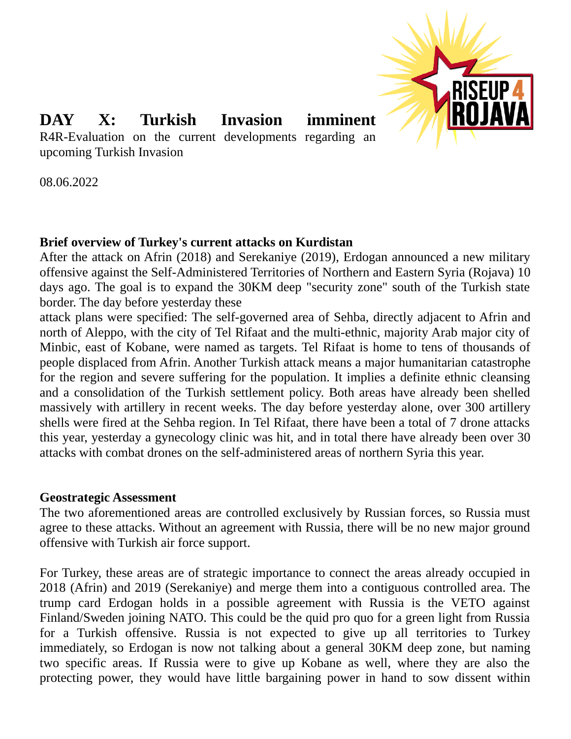

# **DAY X: Turkish Invasion imminent**

R4R-Evaluation on the current developments regarding an upcoming Turkish Invasion

08.06.2022

## **Brief overview of Turkey's current attacks on Kurdistan**

After the attack on Afrin (2018) and Serekaniye (2019), Erdogan announced a new military offensive against the Self-Administered Territories of Northern and Eastern Syria (Rojava) 10 days ago. The goal is to expand the 30KM deep "security zone" south of the Turkish state border. The day before yesterday these

attack plans were specified: The self-governed area of Sehba, directly adjacent to Afrin and north of Aleppo, with the city of Tel Rifaat and the multi-ethnic, majority Arab major city of Minbic, east of Kobane, were named as targets. Tel Rifaat is home to tens of thousands of people displaced from Afrin. Another Turkish attack means a major humanitarian catastrophe for the region and severe suffering for the population. It implies a definite ethnic cleansing and a consolidation of the Turkish settlement policy. Both areas have already been shelled massively with artillery in recent weeks. The day before yesterday alone, over 300 artillery shells were fired at the Sehba region. In Tel Rifaat, there have been a total of 7 drone attacks this year, yesterday a gynecology clinic was hit, and in total there have already been over 30 attacks with combat drones on the self-administered areas of northern Syria this year.

#### **Geostrategic Assessment**

The two aforementioned areas are controlled exclusively by Russian forces, so Russia must agree to these attacks. Without an agreement with Russia, there will be no new major ground offensive with Turkish air force support.

For Turkey, these areas are of strategic importance to connect the areas already occupied in 2018 (Afrin) and 2019 (Serekaniye) and merge them into a contiguous controlled area. The trump card Erdogan holds in a possible agreement with Russia is the VETO against Finland/Sweden joining NATO. This could be the quid pro quo for a green light from Russia for a Turkish offensive. Russia is not expected to give up all territories to Turkey immediately, so Erdogan is now not talking about a general 30KM deep zone, but naming two specific areas. If Russia were to give up Kobane as well, where they are also the protecting power, they would have little bargaining power in hand to sow dissent within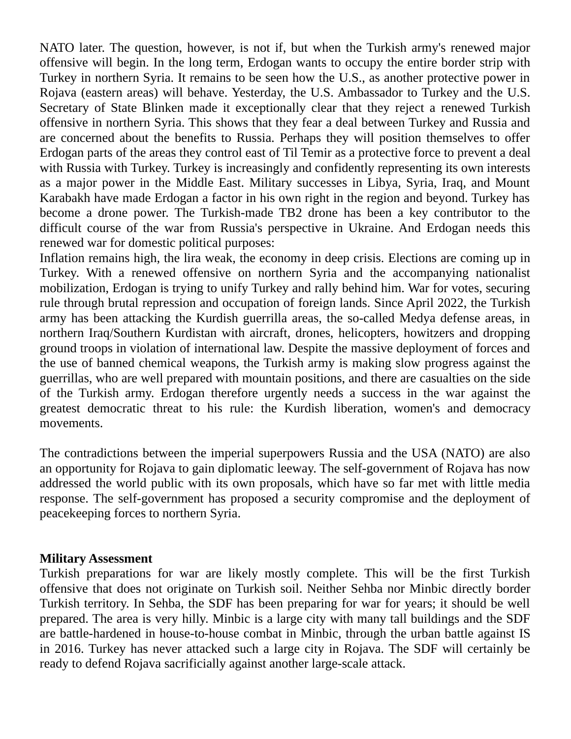NATO later. The question, however, is not if, but when the Turkish army's renewed major offensive will begin. In the long term, Erdogan wants to occupy the entire border strip with Turkey in northern Syria. It remains to be seen how the U.S., as another protective power in Rojava (eastern areas) will behave. Yesterday, the U.S. Ambassador to Turkey and the U.S. Secretary of State Blinken made it exceptionally clear that they reject a renewed Turkish offensive in northern Syria. This shows that they fear a deal between Turkey and Russia and are concerned about the benefits to Russia. Perhaps they will position themselves to offer Erdogan parts of the areas they control east of Til Temir as a protective force to prevent a deal with Russia with Turkey. Turkey is increasingly and confidently representing its own interests as a major power in the Middle East. Military successes in Libya, Syria, Iraq, and Mount Karabakh have made Erdogan a factor in his own right in the region and beyond. Turkey has become a drone power. The Turkish-made TB2 drone has been a key contributor to the difficult course of the war from Russia's perspective in Ukraine. And Erdogan needs this renewed war for domestic political purposes:

Inflation remains high, the lira weak, the economy in deep crisis. Elections are coming up in Turkey. With a renewed offensive on northern Syria and the accompanying nationalist mobilization, Erdogan is trying to unify Turkey and rally behind him. War for votes, securing rule through brutal repression and occupation of foreign lands. Since April 2022, the Turkish army has been attacking the Kurdish guerrilla areas, the so-called Medya defense areas, in northern Iraq/Southern Kurdistan with aircraft, drones, helicopters, howitzers and dropping ground troops in violation of international law. Despite the massive deployment of forces and the use of banned chemical weapons, the Turkish army is making slow progress against the guerrillas, who are well prepared with mountain positions, and there are casualties on the side of the Turkish army. Erdogan therefore urgently needs a success in the war against the greatest democratic threat to his rule: the Kurdish liberation, women's and democracy movements.

The contradictions between the imperial superpowers Russia and the USA (NATO) are also an opportunity for Rojava to gain diplomatic leeway. The self-government of Rojava has now addressed the world public with its own proposals, which have so far met with little media response. The self-government has proposed a security compromise and the deployment of peacekeeping forces to northern Syria.

#### **Military Assessment**

Turkish preparations for war are likely mostly complete. This will be the first Turkish offensive that does not originate on Turkish soil. Neither Sehba nor Minbic directly border Turkish territory. In Sehba, the SDF has been preparing for war for years; it should be well prepared. The area is very hilly. Minbic is a large city with many tall buildings and the SDF are battle-hardened in house-to-house combat in Minbic, through the urban battle against IS in 2016. Turkey has never attacked such a large city in Rojava. The SDF will certainly be ready to defend Rojava sacrificially against another large-scale attack.